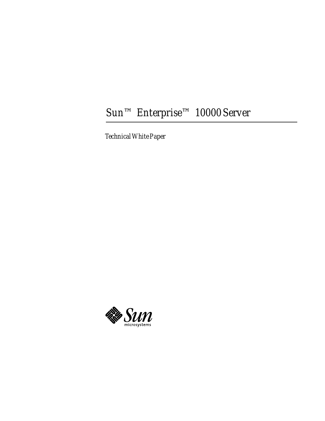# *Sun™ Enterprise™ 10000 Server*

*Technical White Paper*

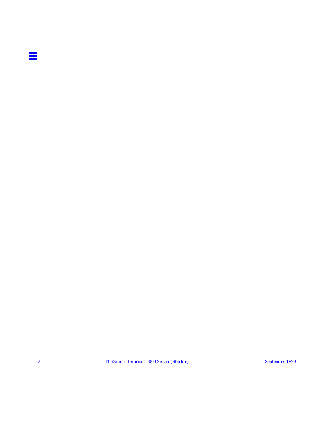$\equiv$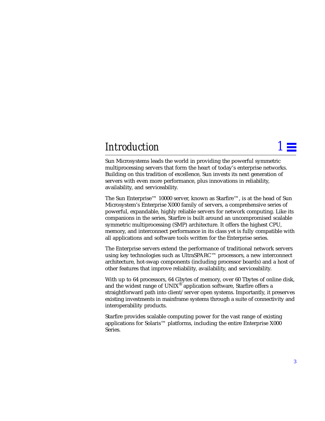## *Introduction 1*

Sun Microsystems leads the world in providing the powerful symmetric multiprocessing servers that form the heart of today's enterprise networks. Building on this tradition of excellence, Sun invests its next generation of servers with even more performance, plus innovations in reliability, availability, and serviceability.

The Sun Enterprise™ 10000 server, known as Starfire™, is at the head of Sun Microsystem's Enterprise X000 family of servers, a comprehensive series of powerful, expandable, highly reliable servers for network computing. Like its companions in the series, Starfire is built around an uncompromised scalable symmetric multiprocessing (SMP) architecture. It offers the highest CPU, memory, and interconnect performance in its class yet is fully compatible with all applications and software tools written for the Enterprise series.

The Enterprise servers extend the performance of traditional network servers using key technologies such as UltraSPARC™ processors, a new interconnect architecture, hot-swap components (including processor boards) and a host of other features that improve reliability, availability, and serviceability.

With up to 64 processors, 64 Gbytes of memory, over 60 Tbytes of online disk, and the widest range of  $UNIX^{\circledast}$  application software, Starfire offers a straightforward path into client/server open systems. Importantly, it preserves existing investments in mainframe systems through a suite of connectivity and interoperability products.

Starfire provides scalable computing power for the vast range of existing applications for Solaris™ platforms, including the entire Enterprise X000 Series.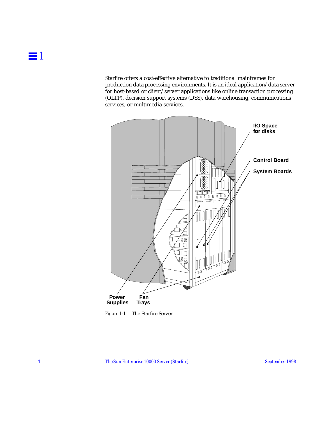Starfire offers a cost-effective alternative to traditional mainframes for production data processing environments. It is an ideal application/data server for host-based or client/server applications like online transaction processing (OLTP), decision support systems (DSS), data warehousing, communications services, or multimedia services.



*Figure 1-1* The Starfire Server

4 *The Sun Enterprise 10000 Server (Starfire) September 1998*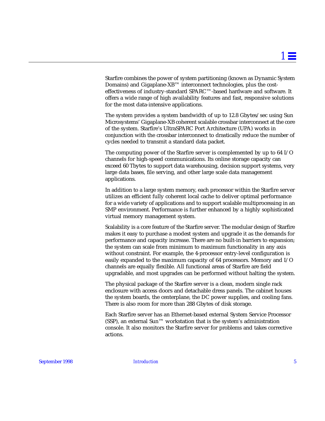Starfire combines the power of system partitioning (known as Dynamic System Domains) and Gigaplane-XB™ interconnect technologies, plus the costeffectiveness of industry-standard SPARC™-based hardware and software. It offers a wide range of high availability features and fast, responsive solutions for the most data-intensive applications.

The system provides a system bandwidth of up to 12.8 Gbytes/sec using Sun Microsystems' Gigaplane-XB coherent scalable crossbar interconnect at the core of the system. Starfire's UltraSPARC Port Architecture (UPA) works in conjunction with the crossbar interconnect to drastically reduce the number of cycles needed to transmit a standard data packet.

The computing power of the Starfire server is complemented by up to 64 I/O channels for high-speed communications. Its online storage capacity can exceed 60 Tbytes to support data warehousing, decision support systems, very large data bases, file serving, and other large scale data management applications.

In addition to a large system memory, each processor within the Starfire server utilizes an efficient fully coherent local cache to deliver optimal performance for a wide variety of applications and to support scalable multiprocessing in an SMP environment. Performance is further enhanced by a highly sophisticated virtual memory management system.

Scalability is a core feature of the Starfire server. The modular design of Starfire makes it easy to purchase a modest system and upgrade it as the demands for performance and capacity increase. There are no built-in barriers to expansion; the system can scale from minimum to maximum functionality in any axis without constraint. For example, the 4-processor entry-level configuration is easily expanded to the maximum capacity of 64 processors. Memory and I/O channels are equally flexible. All functional areas of Starfire are field upgradable, and most upgrades can be performed without halting the system.

The physical package of the Starfire server is a clean, modern single rack enclosure with access doors and detachable dress panels. The cabinet houses the system boards, the centerplane, the DC power supplies, and cooling fans. There is also room for more than 288 Gbytes of disk storage.

Each Starfire server has an Ethernet-based external System Service Processor (SSP), an external Sun™ workstation that is the system's administration console. It also monitors the Starfire server for problems and takes corrective actions.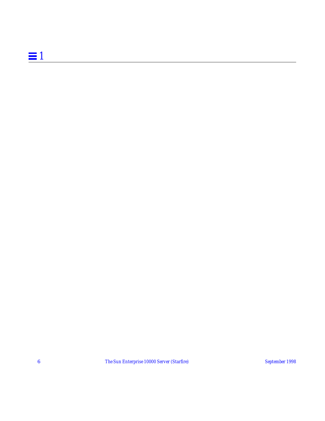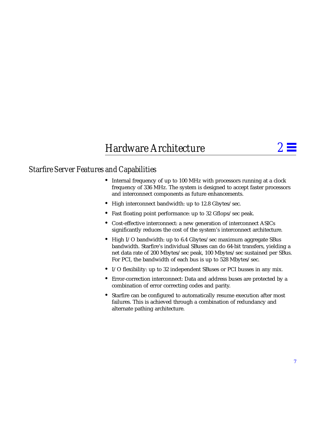## $H$ *ardware Architecture*

#### *Starfire Server Features and Capabilities*

- **•** Internal frequency of up to 100 MHz with processors running at a clock frequency of 336 MHz. The system is designed to accept faster processors and interconnect components as future enhancements.
- **•** High interconnect bandwidth: up to 12.8 Gbytes/sec.
- **•** Fast floating point performance: up to 32 Gflops/sec peak.
- **•** Cost-effective interconnect: a new generation of interconnect ASICs significantly reduces the cost of the system's interconnect architecture.
- **•** High I/O bandwidth: up to 6.4 Gbytes/sec maximum aggregate SBus bandwidth. Starfire's individual SBuses can do 64-bit transfers, yielding a net data rate of 200 Mbytes/sec peak, 100 Mbytes/sec sustained per SBus. For PCI, the bandwidth of each bus is up to 528 Mbytes/sec.
- **•** I/O flexibility: up to 32 independent SBuses or PCI busses in any mix.
- **•** Error-correction interconnect: Data and address buses are protected by a combination of error correcting codes and parity.
- **•** Starfire can be configured to automatically resume execution after most failures. This is achieved through a combination of redundancy and alternate pathing architecture.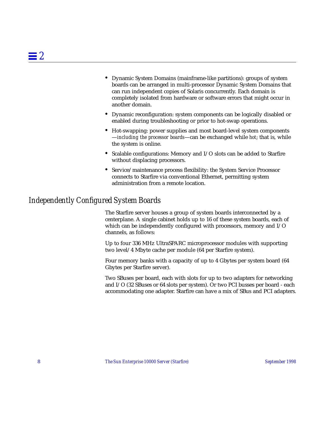- **•** Dynamic System Domains (mainframe-like partitions): groups of system boards can be arranged in multi-processor Dynamic System Domains that can run independent copies of Solaris concurrently. Each domain is completely isolated from hardware or software errors that might occur in another domain.
- **•** Dynamic reconfiguration: system components can be logically disabled or enabled during troubleshooting or prior to hot-swap operations.
- **•** Hot-swapping: power supplies and most board-level system components —*including the processor boards*—can be exchanged while *hot*; that is, while the system is online.
- **•** Scalable configurations: Memory and I/O slots can be added to Starfire without displacing processors.
- **•** Service/maintenance process flexibility: the System Service Processor connects to Starfire via conventional Ethernet, permitting system administration from a remote location.

#### *Independently Configured System Boards*

The Starfire server houses a group of system boards interconnected by a centerplane. A single cabinet holds up to 16 of these system boards, each of which can be independently configured with processors, memory and I/O channels, as follows:

Up to four 336 MHz UltraSPARC microprocessor modules with supporting two level/4 Mbyte cache per module (64 per Starfire system).

Four memory banks with a capacity of up to 4 Gbytes per system board (64 Gbytes per Starfire server).

Two SBuses per board, each with slots for up to two adapters for networking and I/O (32 SBuses or 64 slots per system). Or two PCI busses per board - each accommodating one adapter. Starfire can have a mix of SBus and PCI adapters.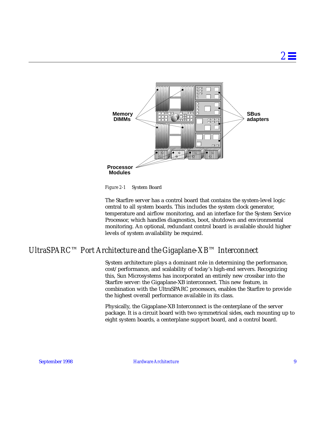

*Figure 2-1* System Board

The Starfire server has a control board that contains the system-level logic central to all system boards. This includes the system clock generator, temperature and airflow monitoring, and an interface for the System Service Processor, which handles diagnostics, boot, shutdown and environmental monitoring. An optional, redundant control board is available should higher levels of system availability be required.

#### *UltraSPARC™ Port Architecture and the Gigaplane-XB™ Interconnect*

System architecture plays a dominant role in determining the performance, cost/performance, and scalability of today's high-end servers. Recognizing this, Sun Microsystems has incorporated an entirely new crossbar into the Starfire server: the Gigaplane-XB interconnect. This new feature, in combination with the UltraSPARC processors, enables the Starfire to provide the highest overall performance available in its class.

Physically, the Gigaplane-XB Interconnect is the centerplane of the server package. It is a circuit board with two symmetrical sides, each mounting up to eight system boards, a centerplane support board, and a control board.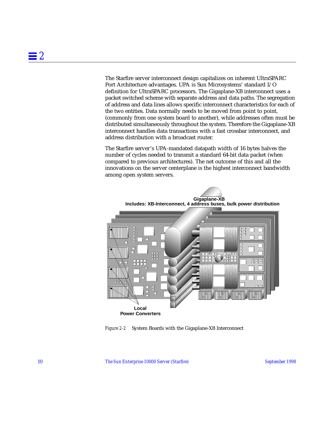The Starfire server interconnect design capitalizes on inherent UltraSPARC Port Architecture advantages. UPA is Sun Microsystems' standard I/O definition for UltraSPARC processors. The Gigaplane-XB interconnect uses a packet switched scheme with separate address and data paths. The segregation of address and data lines allows specific interconnect characteristics for each of the two entities. Data normally needs to be moved from point to point, (commonly from one system board to another), while addresses often must be distributed simultaneously throughout the system. Therefore the Gigaplane-XB interconnect handles data transactions with a fast crossbar interconnect, and address distribution with a broadcast router.

The Starfire server's UPA-mandated datapath width of 16 bytes halves the number of cycles needed to transmit a standard 64-bit data packet (when compared to previous architectures). The net outcome of this and all the innovations on the server centerplane is the highest interconnect bandwidth among open system servers.



*Figure 2-2* System Boards with the Gigaplane-XB Interconnect

10 *The Sun Enterprise 10000 Server (Starfire) September 1998*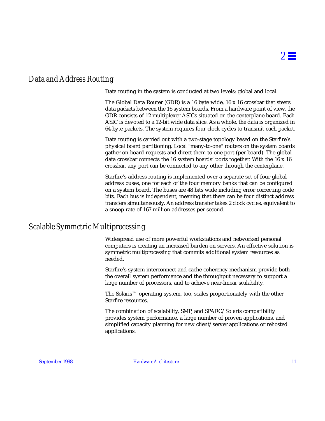#### *Data and Address Routing*

Data routing in the system is conducted at two levels: global and local.

The Global Data Router (GDR) is a 16 byte wide, 16 x 16 crossbar that steers data packets between the 16 system boards. From a hardware point of view, the GDR consists of 12 multiplexer ASICs situated on the centerplane board. Each ASIC is devoted to a 12-bit wide data slice. As a whole, the data is organized in 64-byte packets. The system requires four clock cycles to transmit each packet.

Data routing is carried out with a two-stage topology based on the Starfire's physical board partitioning. Local "many-to-one" routers on the system boards gather on-board requests and direct them to one port (per board). The global data crossbar connects the 16 system boards' ports together. With the 16 x 16 crossbar, any port can be connected to any other through the centerplane.

Starfire's address routing is implemented over a separate set of four global address buses, one for each of the four memory banks that can be configured on a system board. The buses are 48 bits wide including error correcting code bits. Each bus is independent, meaning that there can be four distinct address transfers simultaneously. An address transfer takes 2 clock cycles, equivalent to a snoop rate of 167 million addresses per second.

### *Scalable Symmetric Multiprocessing*

Widespread use of more powerful workstations and networked personal computers is creating an increased burden on servers. An effective solution is symmetric multiprocessing that commits additional system resources as needed.

Starfire's system interconnect and cache coherency mechanism provide both the overall system performance and the throughput necessary to support a large number of processors, and to achieve near-linear scalability.

The Solaris™ operating system, too, scales proportionately with the other Starfire resources.

The combination of scalability, SMP, and SPARC/Solaris compatibility provides system performance, a large number of proven applications, and simplified capacity planning for new client/server applications or rehosted applications.

September 1998 *Hardware Architecture* 11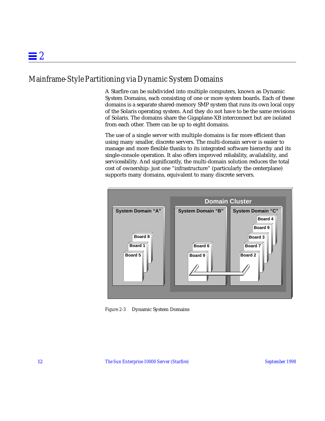#### *Mainframe-Style Partitioning via Dynamic System Domains*

A Starfire can be subdivided into multiple computers, known as Dynamic System Domains, each consisting of one or more system boards. Each of these domains is a separate shared-memory SMP system that runs its own local copy of the Solaris operating system. And they do not have to be the same revisions of Solaris. The domains share the Gigaplane-XB interconnect but are isolated from each other. There can be up to eight domains.

The use of a single server with multiple domains is far more efficient than using many smaller, discrete servers. The multi-domain server is easier to manage and more flexible thanks to its integrated software hierarchy and its single-console operation. It also offers improved reliability, availability, and serviceability. And significantly, the multi-domain solution reduces the total cost of ownership: just one "infrastructure" (particularly the centerplane) supports many domains, equivalent to many discrete servers.



*Figure 2-3* Dynamic System Domains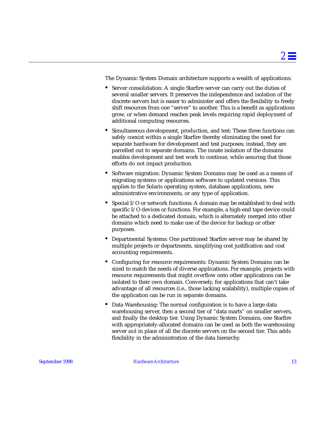The Dynamic System Domain architecture supports a wealth of applications:

- **•** Server consolidation: A single Starfire server can carry out the duties of several smaller servers. It preserves the independence and isolation of the discrete servers but is easier to administer and offers the flexibility to freely shift resources from one "server" to another. This is a benefit as applications grow, or when demand reaches peak levels requiring rapid deployment of additional computing resources.
- **•** Simultaneous development, production, and test: These three functions can safely coexist within a single Starfire thereby eliminating the need for separate hardware for development and test purposes; instead, they are parcelled out to separate domains. The innate isolation of the domains enables development and test work to continue, while assuring that those efforts do not impact production.
- **•** Software migration: Dynamic System Domains may be used as a means of migrating systems or applications software to updated versions. This applies to the Solaris operating system, database applications, new administrative environments, or any type of application.
- **•** Special I/O or network functions: A domain may be established to deal with specific I/O devices or functions. For example, a high-end tape device could be attached to a dedicated domain, which is alternately merged into other domains which need to make use of the device for backup or other purposes.
- **•** Departmental Systems: One partitioned Starfire server may be shared by multiple projects or departments, simplifying cost justification and cost accounting requirements.
- **•** Configuring for resource requirements: Dynamic System Domains can be sized to match the needs of diverse applications. For example, projects with resource requirements that might overflow onto other applications can be isolated to their own domain. Conversely, for applications that can't take advantage of all resources (i.e., those lacking scalability), multiple copies of the application can be run in separate domains.
- **•** Data Warehousing: The normal configuration is to have a large data warehousing server, then a second tier of "data marts" on smaller servers, and finally the desktop tier. Using Dynamic System Domains, one Starfire with appropriately-allocated domains can be used as both the warehousing server *and* in place of all the discrete servers on the second tier. This adds flexibility in the administration of the data hierarchy.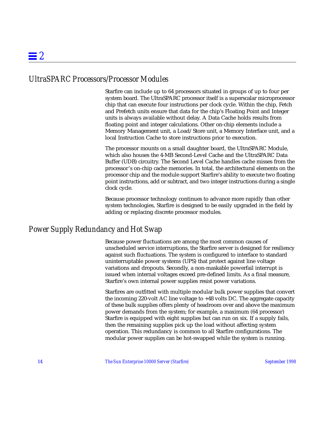#### *UltraSPARC Processors/Processor Modules*

Starfire can include up to 64 processors situated in groups of up to four per system board. The UltraSPARC processor itself is a superscalar microprocessor chip that can execute four instructions per clock cycle. Within the chip, Fetch and Prefetch units ensure that data for the chip's Floating Point and Integer units is always available without delay. A Data Cache holds results from floating point and integer calculations. Other on-chip elements include a Memory Management unit, a Load/Store unit, a Memory Interface unit, and a local Instruction Cache to store instructions prior to execution.

The processor mounts on a small daughter board, the UltraSPARC Module, which also houses the 4-MB Second-Level Cache and the UltraSPARC Data Buffer (UDB) circuitry. The Second Level Cache handles cache misses from the processor's on-chip cache memories. In total, the architectural elements on the processor chip and the module support Starfire's ability to execute two floating point instructions, add or subtract, and two integer instructions during a single clock cycle.

Because processor technology continues to advance more rapidly than other system technologies, Starfire is designed to be easily upgraded in the field by adding or replacing discrete processor modules.

### *Power Supply Redundancy and Hot Swap*

Because power fluctuations are among the most common causes of unscheduled service interruptions, the Starfire server is designed for resiliency against such fluctuations. The system is configured to interface to standard uninterruptable power systems (UPS) that protect against line voltage variations and dropouts. Secondly, a non-maskable powerfail interrupt is issued when internal voltages exceed pre-defined limits. As a final measure, Starfire's own internal power supplies resist power variations.

Starfires are outfitted with multiple modular bulk power supplies that convert the incoming 220-volt AC line voltage to +48 volts DC. The aggregate capacity of these bulk supplies offers plenty of headroom over and above the maximum power demands from the system; for example, a maximum (64 processor) Starfire is equipped with eight supplies but can run on six. If a supply fails, then the remaining supplies pick up the load without affecting system operation. This redundancy is common to all Starfire configurations. The modular power supplies can be hot-swapped while the system is running.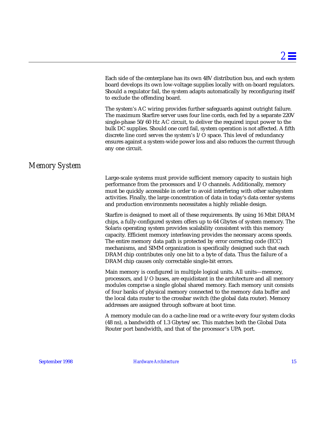Each side of the centerplane has its own 48V distribution bus, and each system board develops its own low-voltage supplies locally with on-board regulators. Should a regulator fail, the system adapts automatically by reconfiguring itself to exclude the offending board.

The system's AC wiring provides further safeguards against outright failure. The maximum Starfire server uses four line cords, each fed by a separate 220V single-phase 50/60 Hz AC circuit, to deliver the required input power to the bulk DC supplies. Should one cord fail, system operation is not affected. A fifth discrete line cord serves the system's I/O space. This level of redundancy ensures against a system-wide power loss and also reduces the current through any one circuit.

#### *Memory System*

Large-scale systems must provide sufficient memory capacity to sustain high performance from the processors and I/O channels. Additionally, memory must be quickly accessible in order to avoid interfering with other subsystem activities. Finally, the large concentration of data in today's data center systems and production environments necessitates a highly reliable design.

Starfire is designed to meet all of these requirements. By using 16 Mbit DRAM chips, a fully-configured system offers up to 64 Gbytes of system memory. The Solaris operating system provides scalability consistent with this memory capacity. Efficient memory interleaving provides the necessary access speeds. The entire memory data path is protected by error correcting code (ECC) mechanisms, and SIMM organization is specifically designed such that each DRAM chip contributes only one bit to a byte of data. Thus the failure of a DRAM chip causes only correctable single-bit errors.

Main memory is configured in multiple logical units. All units—memory, processors, and I/O buses, are equidistant in the architecture and all memory modules comprise a single global shared memory. Each memory unit consists of four banks of physical memory connected to the memory data buffer and the local data router to the crossbar switch (the global data router). Memory addresses are assigned through software at boot time.

A memory module can do a cache-line read or a write every four system clocks (48 ns), a bandwidth of 1.3 Gbytes/sec. This matches both the Global Data Router port bandwidth, and that of the processor's UPA port.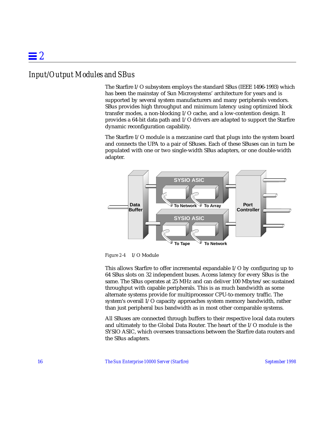#### *Input/Output Modules and SBus*

The Starfire I/O subsystem employs the standard SBus (IEEE 1496-1993) which has been the mainstay of Sun Microsystems' architecture for years and is supported by several system manufacturers and many peripherals vendors. SBus provides high throughput and minimum latency using optimized block transfer modes, a non-blocking I/O cache, and a low-contention design. It provides a 64-bit data path and I/O drivers are adapted to support the Starfire dynamic reconfiguration capability.

The Starfire I/O module is a mezzanine card that plugs into the system board and connects the UPA to a pair of SBuses. Each of these SBuses can in turn be populated with one or two single-width SBus adapters, or one double-width adapter.



*Figure 2-4* I/O Module

This allows Starfire to offer incremental expandable I/O by configuring up to 64 SBus slots on 32 independent buses. Access latency for every SBus is the same. The SBus operates at 25 MHz and can deliver 100 Mbytes/sec sustained throughput with capable peripherals. This is as much bandwidth as some alternate systems provide for multiprocessor CPU-to-memory traffic. The system's overall I/O capacity approaches system memory bandwidth, rather than just peripheral bus bandwidth as in most other comparable systems.

All SBuses are connected through buffers to their respective local data routers and ultimately to the Global Data Router. The heart of the I/O module is the SYSIO ASIC, which oversees transactions between the Starfire data routers and the SBus adapters.

16 *The Sun Enterprise 10000 Server (Starfire) September 1998*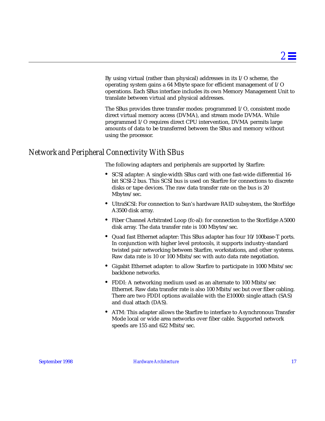By using virtual (rather than physical) addresses in its I/O scheme, the operating system gains a 64 Mbyte space for efficient management of I/O operations. Each SBus interface includes its own Memory Management Unit to translate between virtual and physical addresses.

The SBus provides three transfer modes: programmed I/O, consistent mode direct virtual memory access (DVMA), and stream mode DVMA. While programmed I/O requires direct CPU intervention, DVMA permits large amounts of data to be transferred between the SBus and memory without using the processor.

#### *Network and Peripheral Connectivity With SBus*

The following adapters and peripherals are supported by Starfire:

- **•** SCSI adapter: A single-width SBus card with one fast-wide differential 16 bit SCSI-2 bus. This SCSI bus is used on Starfire for connections to discrete disks or tape devices. The raw data transfer rate on the bus is 20 Mbytes/sec.
- **•** UltraSCSI: For connection to Sun's hardware RAID subsystem, the StorEdge A3500 disk array.
- **•** Fiber Channel Arbitrated Loop (fc-al): for connection to the StorEdge A5000 disk array. The data transfer rate is 100 Mbytes/sec.
- **•** Quad fast Ethernet adapter: This SBus adapter has four 10/100base-T ports. In conjunction with higher level protocols, it supports industry-standard twisted pair networking between Starfire, workstations, and other systems. Raw data rate is 10 or 100 Mbits/sec with auto data rate negotiation.
- **•** Gigabit Ethernet adapter: to allow Starfire to participate in 1000 Mbits/sec backbone networks.
- **•** FDDI: A networking medium used as an alternate to 100 Mbits/sec Ethernet. Raw data transfer rate is also 100 Mbits/sec but over fiber cabling. There are two FDDI options available with the E10000: single attach (SAS) and dual attach (DAS).
- **•** ATM: This adapter allows the Starfire to interface to Asynchronous Transfer Mode local or wide area networks over fiber cable. Supported network speeds are 155 and 622 Mbits/sec.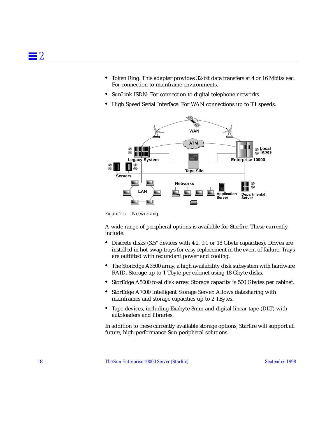- **•** Token Ring: This adapter provides 32-bit data transfers at 4 or 16 Mbits/sec. For connection to mainframe environments.
- **•** SunLink ISDN: For connection to digital telephone networks.
- **•** High Speed Serial Interface: For WAN connections up to T1 speeds.



*Figure 2-5* Networking

A wide range of peripheral options is available for Starfire. These currently include:

- **•** Discrete disks (3.5" devices with 4.2, 9.1 or 18 Gbyte capacities). Drives are installed in hot-swap trays for easy replacement in the event of failure. Trays are outfitted with redundant power and cooling.
- **•** The StorEdge A3500 array, a high availability disk subsystem with hardware RAID. Storage up to 1 Tbyte per cabinet using 18 Gbyte disks.
- **•** StorEdge A5000 fc-al disk array. Storage capacity is 500 Gbytes per cabinet.
- **•** StorEdge A7000 Intelligent Storage Server. Allows datasharing with mainframes and storage capacities up to 2 TBytes.
- **•** Tape devices, including Exabyte 8mm and digital linear tape (DLT) with autoloaders and libraries.

In addition to these currently available storage options, Starfire will support all future, high-performance Sun peripheral solutions.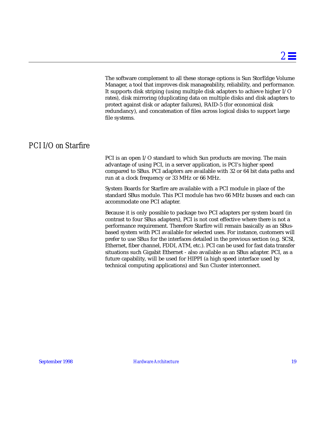The software complement to all these storage options is Sun StorEdge Volume Manager, a tool that improves disk manageability, reliability, and performance. It supports disk striping (using multiple disk adapters to achieve higher I/O rates), disk mirroring (duplicating data on multiple disks and disk adapters to protect against disk or adapter failures), RAID-5 (for economical disk redundancy), and concatenation of files across logical disks to support large file systems.

#### *PCI I/O on Starfire*

PCI is an open I/O standard to which Sun products are moving. The main advantage of using PCI, in a server application, is PCI's higher speed compared to SBus. PCI adapters are available with 32 or 64 bit data paths and run at a clock frequency or 33 MHz or 66 MHz.

System Boards for Starfire are available with a PCI module in place of the standard SBus module. This PCI module has two 66 MHz busses and each can accommodate one PCI adapter.

Because it is only possible to package two PCI adapters per system board (in contrast to four SBus adapters), PCI is not cost effective where there is not a performance requirement. Therefore Starfire will remain basically as an SBusbased system with PCI available for selected uses. For instance, customers will prefer to use SBus for the interfaces detailed in the previous section (e.g. SCSI, Ethernet, fiber channel, FDDI, ATM, etc.). PCI can be used for fast data transfer situations such Gigabit Ethernet - also available as an SBus adapter. PCI, as a future capability, will be used for HIPPI (a high speed interface used by technical computing applications) and Sun Cluster interconnect.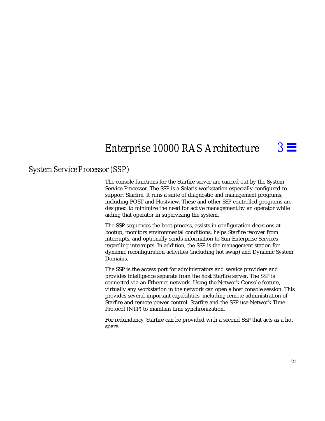## *Enterprise 10000 RAS Architecture 3*

#### *System Service Processor (SSP)*

The console functions for the Starfire server are carried out by the System Service Processor. The SSP is a Solaris workstation especially configured to support Starfire. It runs a suite of diagnostic and management programs, including POST and Hostview. These and other SSP-controlled programs are designed to minimize the need for active management by an operator while aiding that operator in supervising the system.

The SSP sequences the boot process, assists in configuration decisions at bootup, monitors environmental conditions, helps Starfire recover from interrupts, and optionally sends information to Sun Enterprise Services regarding interrupts. In addition, the SSP is the management station for dynamic reconfiguration activities (including hot swap) and Dynamic System Domains.

The SSP is the access port for administrators and service providers and provides intelligence separate from the host Starfire server. The SSP is connected via an Ethernet network. Using the Network Console feature, virtually any workstation in the network can open a host console session. This provides several important capabilities, including remote administration of Starfire and remote power control. Starfire and the SSP use Network Time Protocol (NTP) to maintain time synchronization.

For redundancy, Starfire can be provided with a second SSP that acts as a hot spare.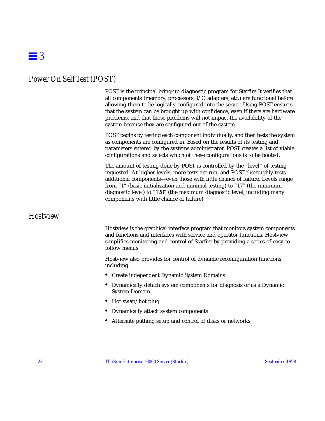#### *Power On Self Test (POST)*

POST is the principal bring-up diagnostic program for Starfire It verifies that all components (memory, processors, I/O adapters, etc.) are functional before allowing them to be logically configured into the server. Using POST ensures that the system can be brought up with confidence, even if there are hardware problems, and that those problems will not impact the availability of the system because they are configured out of the system.

POST begins by testing each component individually, and then tests the system as components are configured in. Based on the results of its testing and parameters entered by the systems administrator, POST creates a list of viable configurations and selects which of these configurations is to be booted.

The amount of testing done by POST is controlled by the "level" of testing requested. At higher levels, more tests are run, and POST thoroughly tests additional components—even those with little chance of failure. Levels range from "1" (basic initialization and minimal testing) to "17" (the minimum diagnostic level) to "128" (the maximum diagnostic level, including many components with little chance of failure).

#### *Hostview*

Hostview is the graphical interface program that monitors system components and functions and interfaces with service and operator functions. Hostview simplifies monitoring and control of Starfire by providing a series of easy-tofollow menus.

Hostview also provides for control of dynamic reconfiguration functions, including:

- **•** Create independent Dynamic System Domains
- **•** Dynamically detach system components for diagnosis or as a Dynamic System Domain
- **•** Hot swap/hot plug
- **•** Dynamically attach system components
- **•** Alternate pathing setup and control of disks or networks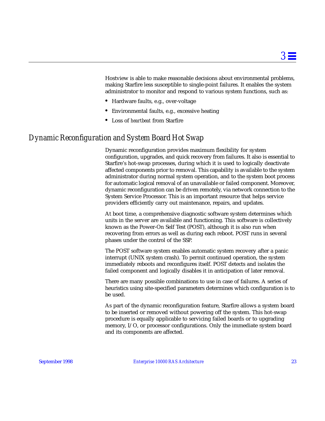Hostview is able to make reasonable decisions about environmental problems, making Starfire less susceptible to single-point failures. It enables the system administrator to monitor and respond to various system functions, such as:

- **•** Hardware faults, e.g., over-voltage
- **•** Environmental faults, e.g., excessive heating
- **•** Loss of *heartbeat* from Starfire

#### *Dynamic Reconfiguration and System Board Hot Swap*

Dynamic reconfiguration provides maximum flexibility for system configuration, upgrades, and quick recovery from failures. It also is essential to Starfire's hot-swap processes, during which it is used to logically deactivate affected components prior to removal. This capability is available to the system administrator during normal system operation, and to the system boot process for automatic logical removal of an unavailable or failed component. Moreover, dynamic reconfiguration can be driven remotely, via network connection to the System Service Processor. This is an important resource that helps service providers efficiently carry out maintenance, repairs, and updates.

At boot time, a comprehensive diagnostic software system determines which units in the server are available and functioning. This software is collectively known as the Power-On Self Test (POST), although it is also run when recovering from errors as well as during each reboot. POST runs in several phases under the control of the SSP.

The POST software system enables automatic system recovery after a panic interrupt (UNIX system crash). To permit continued operation, the system immediately reboots and reconfigures itself. POST detects and isolates the failed component and logically disables it in anticipation of later removal.

There are many possible combinations to use in case of failures. A series of heuristics using site-specified parameters determines which configuration is to be used.

As part of the dynamic reconfiguration feature, Starfire allows a system board to be inserted or removed without powering off the system. This hot-swap procedure is equally applicable to servicing failed boards or to upgrading memory, I/O, or processor configurations. Only the immediate system board and its components are affected.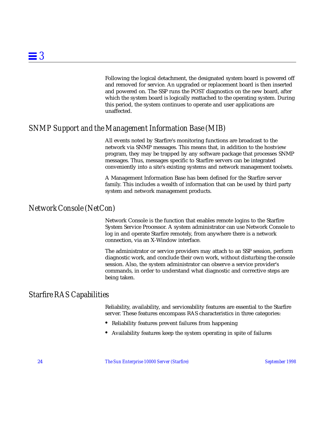Following the logical detachment, the designated system board is powered off and removed for service. An upgraded or replacement board is then inserted and powered on. The SSP runs the POST diagnostics on the new board, after which the system board is logically reattached to the operating system. During this period, the system continues to operate and user applications are unaffected.

#### *SNMP Support and the Management Information Base (MIB)*

All events noted by Starfire's monitoring functions are broadcast to the network via SNMP messages. This means that, in addition to the hostview program, they may be trapped by any software package that processes SNMP messages. Thus, messages specific to Starfire servers can be integrated conveniently into a site's existing systems and network management toolsets.

A Management Information Base has been defined for the Starfire server family. This includes a wealth of information that can be used by third party system and network management products.

#### *Network Console (NetCon)*

Network Console is the function that enables remote logins to the Starfire System Service Processor. A system administrator can use Network Console to log in and operate Starfire remotely, from anywhere there is a network connection, via an X-Window interface.

The administrator or service providers may attach to an SSP session, perform diagnostic work, and conclude their own work, without disturbing the console session. Also, the system administrator can observe a service provider's commands, in order to understand what diagnostic and corrective steps are being taken.

#### *Starfire RAS Capabilities*

Reliability, availability, and serviceability features are essential to the Starfire server. These features encompass RAS characteristics in three categories:

- **•** Reliability features prevent failures from happening
- **•** Availability features keep the system operating in spite of failures

24 *The Sun Enterprise 10000 Server (Starfire) September 1998*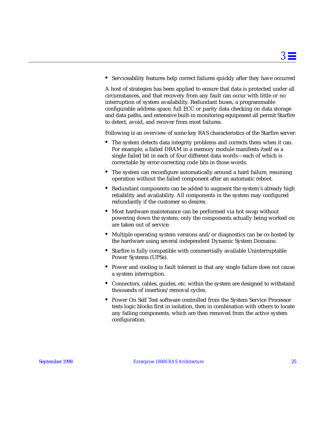**•** Serviceability features help correct failures quickly after they have occurred

A host of strategies has been applied to ensure that data is protected under all circumstances, and that recovery from any fault can occur with little or no interruption of system availability. Redundant buses, a programmable configurable address space, full ECC or parity data checking on data storage and data paths, and extensive built-in monitoring equipment all permit Starfire to detect, avoid, and recover from most failures.

Following is an overview of some key RAS characteristics of the Starfire server:

- **•** The system detects data integrity problems and corrects them when it can. For example, a failed DRAM in a memory module manifests itself as a single failed bit in each of four different data words—each of which is correctable by error-correcting code bits in those words.
- **•** The system can reconfigure automatically around a hard failure, resuming operation without the failed component after an automatic reboot.
- **•** Redundant components can be added to augment the system's already high reliability and availability. All components in the system may configured redundantly if the customer so desires.
- **•** Most hardware maintenance can be performed via hot swap without powering down the system; only the components actually being worked on are taken out of service.
- **•** Multiple operating system versions and/or diagnostics can be co-hosted by the hardware using several independent Dynamic System Domains.
- **•** Starfire is fully compatible with commercially available Uninterruptable Power Systems (UPSs).
- **•** Power and cooling is fault tolerant in that any single failure does not cause a system interruption.
- **•** Connectors, cables, guides, etc. within the system are designed to withstand thousands of insertion/removal cycles.
- **•** Power On Self Test software controlled from the System Service Processor tests logic blocks first in isolation, then in combination with others to locate any failing components, which are then removed from the active system configuration.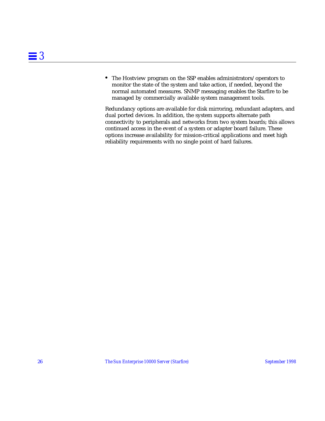**•** The Hostview program on the SSP enables administrators/operators to monitor the state of the system and take action, if needed, beyond the normal automated measures. SNMP messaging enables the Starfire to be managed by commercially available system management tools.

Redundancy options are available for disk mirroring, redundant adapters, and dual ported devices. In addition, the system supports alternate path connectivity to peripherals and networks from two system boards; this allows continued access in the event of a system or adapter board failure. These options increase availability for mission-critical applications and meet high reliability requirements with no single point of hard failures.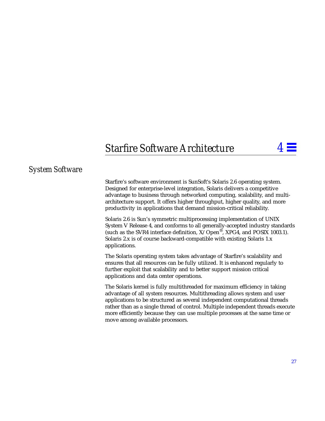### *Starfire Software Architecture 4*

#### *System Software*

Starfire's software environment is SunSoft's Solaris 2.6 operating system. Designed for enterprise-level integration, Solaris delivers a competitive advantage to business through networked computing, scalability, and multiarchitecture support. It offers higher throughput, higher quality, and more productivity in applications that demand mission-critical reliability.

Solaris 2.6 is Sun's symmetric multiprocessing implementation of UNIX System V Release 4, and conforms to all generally-accepted industry standards (such as the SVR4 interface definition,  $X/Open^{\circledast}$ , XPG4, and POSIX 1003.1). Solaris 2.x is of course backward-compatible with existing Solaris 1.x applications.

The Solaris operating system takes advantage of Starfire's scalability and ensures that all resources can be fully utilized. It is enhanced regularly to further exploit that scalability and to better support mission critical applications and data center operations.

The Solaris kernel is fully multithreaded for maximum efficiency in taking advantage of all system resources. Multithreading allows system and user applications to be structured as several independent computational threads rather than as a single thread of control. Multiple independent threads execute more efficiently because they can use multiple processes at the same time or move among available processors.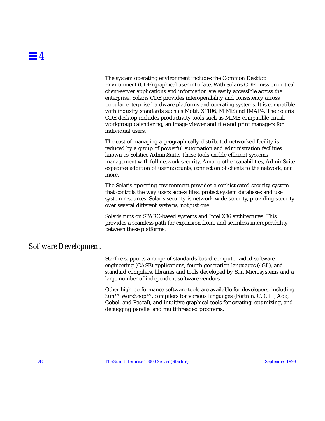The system operating environment includes the Common Desktop Environment (CDE) graphical user interface. With Solaris CDE, mission-critical client-server applications and information are easily accessible across the enterprise. Solaris CDE provides interoperability and consistency across popular enterprise hardware platforms and operating systems. It is compatible with industry standards such as Motif, X11R6, MIME and IMAP4. The Solaris CDE desktop includes productivity tools such as MIME-compatible email, workgroup calendaring, an image viewer and file and print managers for individual users.

The cost of managing a geographically distributed networked facility is reduced by a group of powerful automation and administration facilities known as Solstice AdminSuite. These tools enable efficient systems management with full network security. Among other capabilities, AdminSuite expedites addition of user accounts, connection of clients to the network, and more.

The Solaris operating environment provides a sophisticated security system that controls the way users access files, protect system databases and use system resources. Solaris security is network-wide security, providing security over several different systems, not just one.

Solaris runs on SPARC-based systems and Intel X86 architectures. This provides a seamless path for expansion from, and seamless interoperability between these platforms.

#### *Software Development*

Starfire supports a range of standards-based computer aided software engineering (CASE) applications, fourth generation languages (4GL), and standard compilers, libraries and tools developed by Sun Microsystems and a large number of independent software vendors.

Other high-performance software tools are available for developers, including  $Sum^{TM} WorkShop^{TM}$ , compilers for various languages (Fortran, C, C++, Ada, Cobol, and Pascal), and intuitive graphical tools for creating, optimizing, and debugging parallel and multithreaded programs.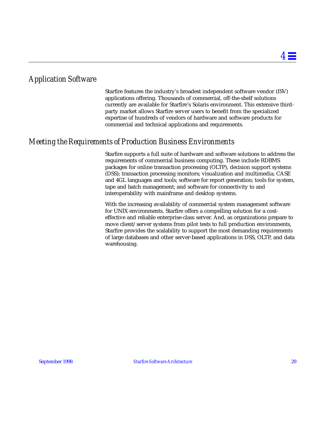#### *Application Software*

Starfire features the industry's broadest independent software vendor (ISV) applications offering. Thousands of commercial, off-the-shelf solutions currently are available for Starfire's Solaris environment. This extensive thirdparty market allows Starfire server users to benefit from the specialized expertise of hundreds of vendors of hardware and software products for commercial and technical applications and requirements.

#### *Meeting the Requirements of Production Business Environments*

Starfire supports a full suite of hardware and software solutions to address the requirements of commercial business computing. These include RDBMS packages for online transaction processing (OLTP), decision support systems (DSS); transaction processing monitors; visualization and multimedia; CASE and 4GL languages and tools; software for report generation; tools for system, tape and batch management; and software for connectivity to and interoperability with mainframe and desktop systems.

With the increasing availability of commercial system management software for UNIX environments, Starfire offers a compelling solution for a costeffective and reliable enterprise-class server. And, as organizations prepare to move client/server systems from pilot tests to full production environments, Starfire provides the scalability to support the most demanding requirements of large databases and other server-based applications in DSS, OLTP, and data warehousing.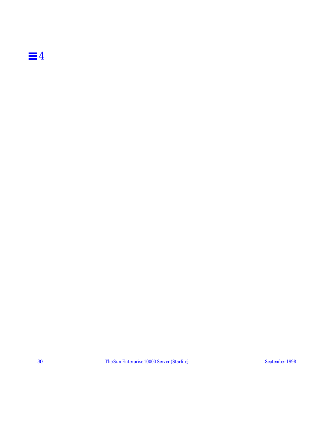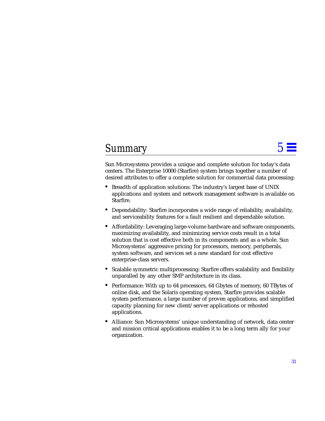### *Summary 5*

Sun Microsystems provides a unique and complete solution for today's data centers. The Enterprise 10000 (Starfire) system brings together a number of desired attributes to offer a complete solution for commercial data processing:

- **•** Breadth of application solutions: The industry's largest base of UNIX applications and system and network management software is available on Starfire.
- **•** Dependability: Starfire incorporates a wide range of reliability, availability, and serviceability features for a fault resilient and dependable solution.
- **•** Affordability: Leveraging large-volume hardware and software components, maximizing availability, and minimizing service costs result in a total solution that is cost effective both in its components and as a whole. Sun Microsystems' aggressive pricing for processors, memory, peripherals, system software, and services set a new standard for cost effective enterprise-class servers.
- **•** Scalable symmetric multiprocessing: Starfire offers scalability and flexibility unparalled by any other SMP architecture in its class.
- **•** Performance: With up to 64 processors, 64 Gbytes of memory, 60 TBytes of online disk, and the Solaris operating system, Starfire provides scalable system performance, a large number of proven applications, and simplified capacity planning for new client/server applications or rehosted applications.
- **•** Alliance: Sun Microsystems' unique understanding of network, data center and mission critical applications enables it to be a long term ally for your organization.